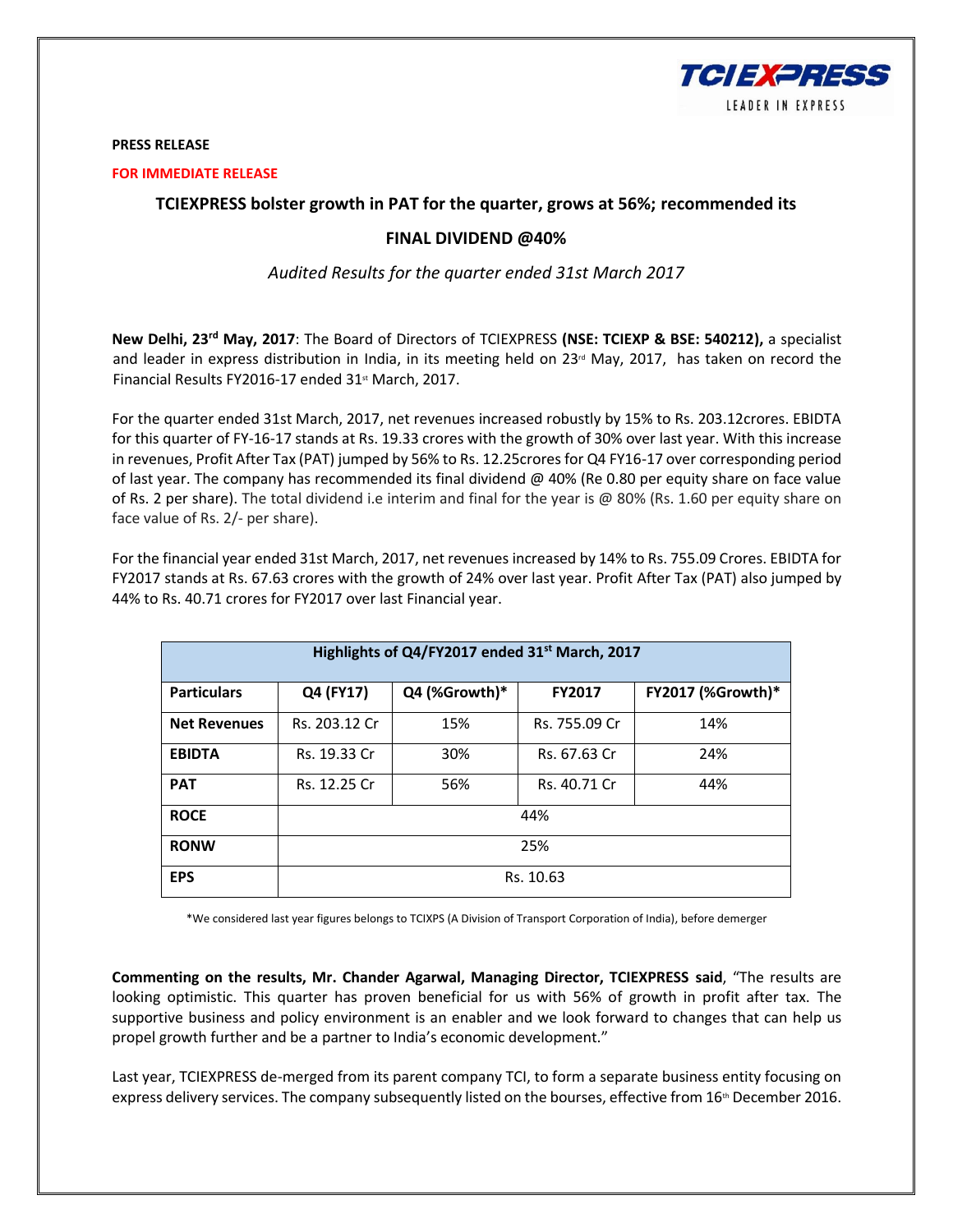

### **PRESS RELEASE**

#### **FOR IMMEDIATE RELEASE**

# **TCIEXPRESS bolster growth in PAT for the quarter, grows at 56%; recommended its**

# **FINAL DIVIDEND @40%**

*Audited Results for the quarter ended 31st March 2017*

**New Delhi, 23rd May, 2017**: The Board of Directors of TCIEXPRESS **(NSE: TCIEXP & BSE: 540212),** a specialist and leader in express distribution in India, in its meeting held on  $23<sup>rd</sup>$  May, 2017, has taken on record the Financial Results FY2016-17 ended 31<sup>st</sup> March, 2017.

For the quarter ended 31st March, 2017, net revenues increased robustly by 15% to Rs. 203.12crores. EBIDTA for this quarter of FY-16-17 stands at Rs. 19.33 crores with the growth of 30% over last year. With this increase in revenues, Profit After Tax (PAT) jumped by 56% to Rs. 12.25crores for Q4 FY16-17 over corresponding period of last year. The company has recommended its final dividend @ 40% (Re 0.80 per equity share on face value of Rs. 2 per share). The total dividend i.e interim and final for the year is @ 80% (Rs. 1.60 per equity share on face value of Rs. 2/- per share).

For the financial year ended 31st March, 2017, net revenues increased by 14% to Rs. 755.09 Crores. EBIDTA for FY2017 stands at Rs. 67.63 crores with the growth of 24% over last year. Profit After Tax (PAT) also jumped by 44% to Rs. 40.71 crores for FY2017 over last Financial year.

| Highlights of Q4/FY2017 ended 31 <sup>st</sup> March, 2017 |               |               |               |                   |
|------------------------------------------------------------|---------------|---------------|---------------|-------------------|
| <b>Particulars</b>                                         | Q4 (FY17)     | Q4 (%Growth)* | <b>FY2017</b> | FY2017 (%Growth)* |
| <b>Net Revenues</b>                                        | Rs. 203.12 Cr | 15%           | Rs. 755.09 Cr | 14%               |
| <b>EBIDTA</b>                                              | Rs. 19.33 Cr  | 30%           | Rs. 67.63 Cr  | 24%               |
| <b>PAT</b>                                                 | Rs. 12.25 Cr  | 56%           | Rs. 40.71 Cr  | 44%               |
| <b>ROCE</b>                                                | 44%           |               |               |                   |
| <b>RONW</b>                                                | 25%           |               |               |                   |
| <b>EPS</b>                                                 | Rs. 10.63     |               |               |                   |

\*We considered last year figures belongs to TCIXPS (A Division of Transport Corporation of India), before demerger

**Commenting on the results, Mr. Chander Agarwal, Managing Director, TCIEXPRESS said**, "The results are looking optimistic. This quarter has proven beneficial for us with 56% of growth in profit after tax. The supportive business and policy environment is an enabler and we look forward to changes that can help us propel growth further and be a partner to India's economic development."

Last year, TCIEXPRESS de-merged from its parent company TCI, to form a separate business entity focusing on express delivery services. The company subsequently listed on the bourses, effective from 16<sup>th</sup> December 2016.